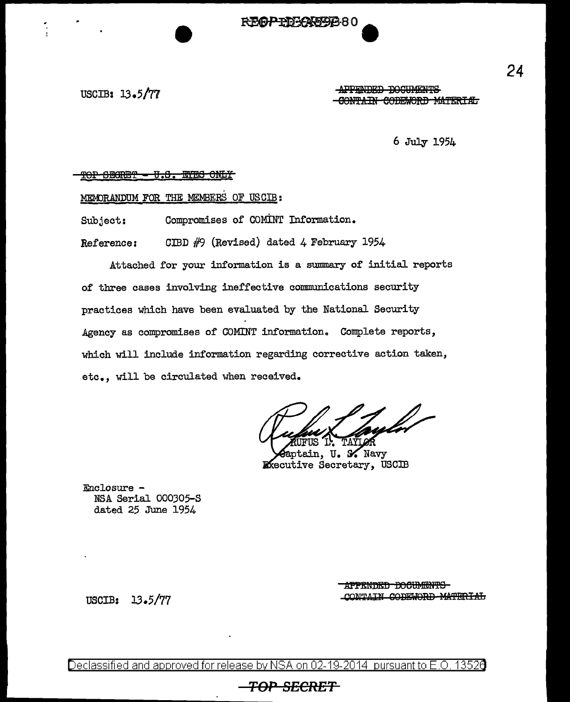# REAPTELATORRO

USCIB: 13.5/77

APPENDED DOCUMENTS CONTAIN CODEWORD MATERIAL

 $6$  July 1954

#### THOP CHART - U.S. THORE TOP

### MEMORANDUM FOR THE MEMBERS OF USCIB:

Compromises of COMINT Information. Subject:

CIBD  $#9$  (Revised) dated 4 February 1954 Reference:

Attached for your information is a summary of initial reports of three cases involving ineffective communications security practices which have been evaluated by the National Security Agency as compromises of COMINT information. Complete reports, which will include information regarding corrective action taken, etc., will be circulated when received.

aptain. U. S. Navy **Executive Secretary, USCIB** 

Enclosure -NSA Serial 000305-S dated 25 June 1954

> APPENDED DOCUMENTS CONTAIN CODEWORD MATERIAL

USCIB: 13.5/77

Declassified and approved for release by NSA on 02-19-2014 pursuant to E.O. 13520

# **-TOP SECRET**

24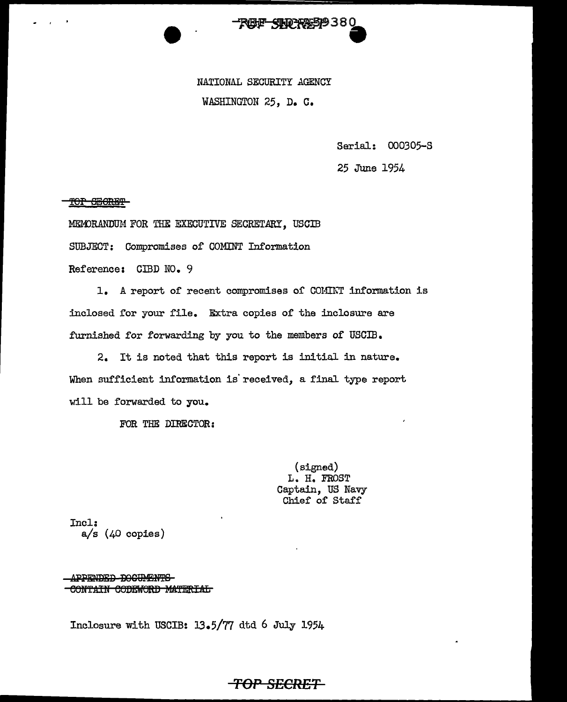

NATIONAL SECURITY AGENCY WASHINGTON 25, D. C.

Serial: 000305-S

25 June 1954

TOP SHORET

MEMORANDUM FOR THE EXECUTIVE SECRETARY. USCIB

SUBJECT: Compromises of COMINT Information

Reference: CIBD NO. 9

1. A report of recent compromises of COMINT information is inclosed for your file. Extra copies of the inclosure are furnished for forwarding by you to the members of USCIB.

2. It is noted that this report is initial in nature. When sufficient information is' received, a final type report will be forwarded to you.

FOR THE DIRECTOR:

(signed) L. H. FROST Captain, US Navy Chief of Staff

Incl:  $a/s$  ( $40$  copies)

APPENDED DOCUMENTS CONTAIN CODEWORD MATERIAL

Inclosure with USCIB:  $13.5/77$  dtd 6 July 1954

## **TOP SECRET**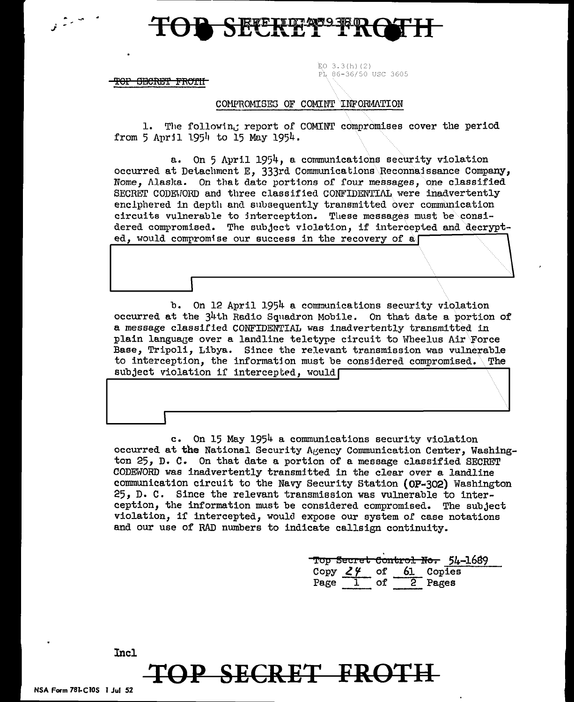

<del>TOP SECRET FROIH</del>

# PL 86-36/50 USC 3605

 $EO$  3.3(h)(2)

### COMPROMISES OF COMINT INFORMATION

1. The following report of COMINT compromises cover the period from 5 April 1954 to 15 May 1954.

a. On 5 April 1954, a communications security violation occurred at Detachment E. 333rd Communications Reconnaissance Company, Nome, Alaska. On that date portions of four messages, one classified SECRET CODEWORD and three classified CONFIDENTIAL were inadvertently enclphered in depth and subsequently transmitted over communication circuits vulnerable to interception. These messages must be considered compromised. The subject violation, if intercepted and decrypted. would compromise our success in the recovery of a

b. On 12 April 1954 a communications security violation occurred at the 34th Radio Squadron Mobile. On that date a portion of a message classified CONFIDENTIAL was inadvertently transmitted in plain language over a landline teletype circuit to Wheelus Air Force Base, Tripoli, Libya. Since the relevant transmission was vulnerable to interception, the information must be considered compromised. The T subject violation if intercepted, would

c. On 15 May 1954 a communications security violation occurred at the National Security Agency Communication Center, Washington 25, D. C. On that date a portion of a message classified SECRET CODEWORD was inadvertently transmitted in the clear over a landline communication circuit to the Navy Security Station (OP-302) Washington 25, D. C. Since the relevant transmission was vulnerable to interception, the information must be considered compromised. The subject violation, if intercepted, would expose our system of case notations and our use of RAD numbers to indicate callsign continuity.

Top Secret Control No. 54-1689 Copy  $24$  of 61 Coples Page 1 of 2 Pages

P SECRET FROTH

Incl